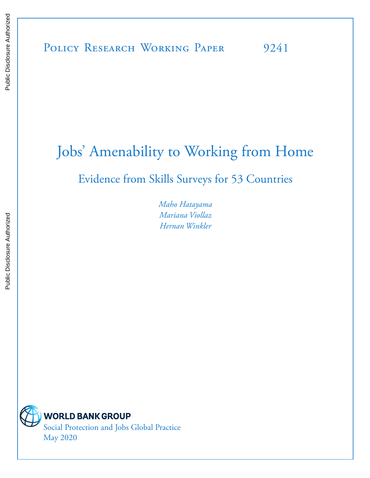# Jobs' Amenability to Working from Home

## Evidence from Skills Surveys for 53 Countries

*Maho Hatayama Mariana Viollaz Hernan Winkler*



**WORLD BANK GROUP** 

Social Protection and Jobs Global Practice May 2020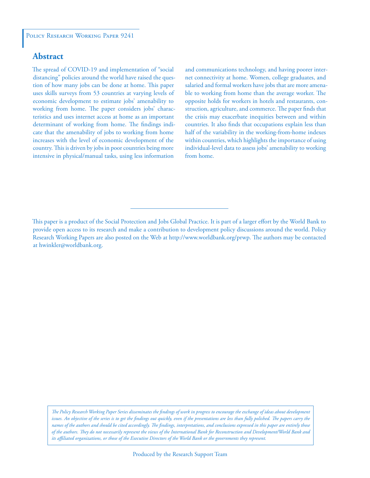## **Abstract**

The spread of COVID-19 and implementation of "social distancing" policies around the world have raised the question of how many jobs can be done at home. This paper uses skills surveys from 53 countries at varying levels of economic development to estimate jobs' amenability to working from home. The paper considers jobs' characteristics and uses internet access at home as an important determinant of working from home. The findings indicate that the amenability of jobs to working from home increases with the level of economic development of the country. This is driven by jobs in poor countries being more intensive in physical/manual tasks, using less information

and communications technology, and having poorer internet connectivity at home. Women, college graduates, and salaried and formal workers have jobs that are more amenable to working from home than the average worker. The opposite holds for workers in hotels and restaurants, construction, agriculture, and commerce. The paper finds that the crisis may exacerbate inequities between and within countries. It also finds that occupations explain less than half of the variability in the working-from-home indexes within countries, which highlights the importance of using individual-level data to assess jobs' amenability to working from home.

*The Policy Research Working Paper Series disseminates the findings of work in progress to encourage the exchange of ideas about development*  issues. An objective of the series is to get the findings out quickly, even if the presentations are less than fully polished. The papers carry the *names of the authors and should be cited accordingly. The findings, interpretations, and conclusions expressed in this paper are entirely those of the authors. They do not necessarily represent the views of the International Bank for Reconstruction and Development/World Bank and its affiliated organizations, or those of the Executive Directors of the World Bank or the governments they represent.*

This paper is a product of the Social Protection and Jobs Global Practice. It is part of a larger effort by the World Bank to provide open access to its research and make a contribution to development policy discussions around the world. Policy Research Working Papers are also posted on the Web at http://www.worldbank.org/prwp. The authors may be contacted at hwinkler@worldbank.org.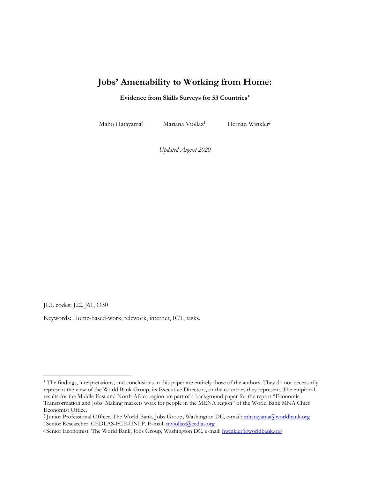## **Jobs' Amenability to Working from Home:**

#### **Evidence from Skills Surveys for 53 Countries**[∗](#page-2-0)

Maho Hatayam[a§](#page-2-1) Mariana Viollaz<sup>ł</sup>

Hernan Winklerf

*Updated August 2020*

JEL codes: J22, J61, O30

Keywords: Home-based-work, telework, internet, ICT, tasks.

<span id="page-2-0"></span><sup>∗</sup> The findings, interpretations, and conclusions in this paper are entirely those of the authors. They do not necessarily represent the view of the World Bank Group, its Executive Directors, or the countries they represent. The empirical results for the Middle East and North Africa region are part of a background paper for the report "Economic Transformation and Jobs: Making markets work for people in the MENA region" of the World Bank MNA Chief Economist Office.

<span id="page-2-1"></span><sup>§</sup> Junior Professional Officer. The World Bank, Jobs Group, Washington DC, e-mail: [mhatayama@worldbank.org](mailto:mhatayama@worldbank.org)

<span id="page-2-2"></span><sup>&</sup>lt;sup>1</sup> Senior Researcher. CEDLAS-FCE-UNLP. E-mail: [mviollaz@cedlas.org](mailto:mviollaz@cedlas.org)

<span id="page-2-3"></span><sup>&</sup>lt;sup>S</sup> Senior Economist. The World Bank, Jobs Group, Washington DC, e-mail[: hwinkler@worldbank.org](mailto:hwinkler@worldbank.org)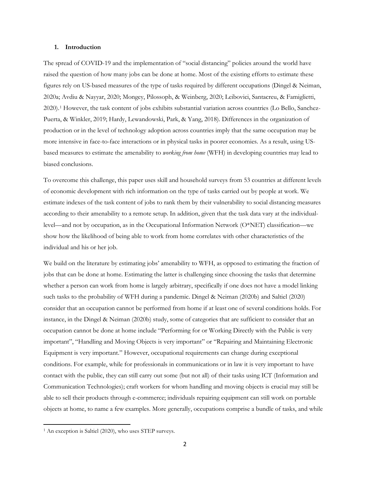#### **1. Introduction**

The spread of COVID-19 and the implementation of "social distancing" policies around the world have raised the question of how many jobs can be done at home. Most of the existing efforts to estimate these figures rely on US-based measures of the type of tasks required by different occupations (Dingel & Neiman, 2020a; Avdiu & Nayyar, 2020; Mongey, Pilossoph, & Weinberg, 2020; Leibovici, Santacreu, & Famiglietti, 2020).[1](#page-3-0) However, the task content of jobs exhibits substantial variation across countries (Lo Bello, Sanchez-Puerta, & Winkler, 2019; Hardy, Lewandowski, Park, & Yang, 2018). Differences in the organization of production or in the level of technology adoption across countries imply that the same occupation may be more intensive in face-to-face interactions or in physical tasks in poorer economies. As a result, using USbased measures to estimate the amenability to *working from home* (WFH) in developing countries may lead to biased conclusions.

To overcome this challenge, this paper uses skill and household surveys from 53 countries at different levels of economic development with rich information on the type of tasks carried out by people at work. We estimate indexes of the task content of jobs to rank them by their vulnerability to social distancing measures according to their amenability to a remote setup. In addition, given that the task data vary at the individuallevel—and not by occupation, as in the Occupational Information Network (O\*NET) classification—we show how the likelihood of being able to work from home correlates with other characteristics of the individual and his or her job.

We build on the literature by estimating jobs' amenability to WFH, as opposed to estimating the fraction of jobs that can be done at home. Estimating the latter is challenging since choosing the tasks that determine whether a person can work from home is largely arbitrary, specifically if one does not have a model linking such tasks to the probability of WFH during a pandemic. Dingel & Neiman (2020b) and Saltiel (2020) consider that an occupation cannot be performed from home if at least one of several conditions holds. For instance, in the Dingel & Neiman (2020b) study, some of categories that are sufficient to consider that an occupation cannot be done at home include "Performing for or Working Directly with the Public is very important", "Handling and Moving Objects is very important" or "Repairing and Maintaining Electronic Equipment is very important." However, occupational requirements can change during exceptional conditions. For example, while for professionals in communications or in law it is very important to have contact with the public, they can still carry out some (but not all) of their tasks using ICT (Information and Communication Technologies); craft workers for whom handling and moving objects is crucial may still be able to sell their products through e-commerce; individuals repairing equipment can still work on portable objects at home, to name a few examples. More generally, occupations comprise a bundle of tasks, and while

<span id="page-3-0"></span><sup>&</sup>lt;sup>1</sup> An exception is Saltiel (2020), who uses STEP surveys.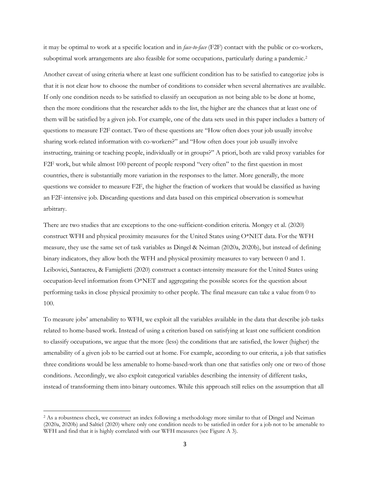it may be optimal to work at a specific location and in *face-to-face* (F2F) contact with the public or co-workers, suboptimal work arrangements are also feasible for some occupations, particularly during a pandemic.<sup>[2](#page-4-0)</sup>

Another caveat of using criteria where at least one sufficient condition has to be satisfied to categorize jobs is that it is not clear how to choose the number of conditions to consider when several alternatives are available. If only one condition needs to be satisfied to classify an occupation as not being able to be done at home, then the more conditions that the researcher adds to the list, the higher are the chances that at least one of them will be satisfied by a given job. For example, one of the data sets used in this paper includes a battery of questions to measure F2F contact. Two of these questions are "How often does your job usually involve sharing work-related information with co-workers?" and "How often does your job usually involve instructing, training or teaching people, individually or in groups?" A priori, both are valid proxy variables for F2F work, but while almost 100 percent of people respond "very often" to the first question in most countries, there is substantially more variation in the responses to the latter. More generally, the more questions we consider to measure F2F, the higher the fraction of workers that would be classified as having an F2F-intensive job. Discarding questions and data based on this empirical observation is somewhat arbitrary.

There are two studies that are exceptions to the one-sufficient-condition criteria. Mongey et al. (2020) construct WFH and physical proximity measures for the United States using O\*NET data. For the WFH measure, they use the same set of task variables as Dingel & Neiman (2020a, 2020b), but instead of defining binary indicators, they allow both the WFH and physical proximity measures to vary between 0 and 1. Leibovici, Santacreu, & Famiglietti (2020) construct a contact-intensity measure for the United States using occupation-level information from O\*NET and aggregating the possible scores for the question about performing tasks in close physical proximity to other people. The final measure can take a value from 0 to 100.

To measure jobs' amenability to WFH, we exploit all the variables available in the data that describe job tasks related to home-based work. Instead of using a criterion based on satisfying at least one sufficient condition to classify occupations, we argue that the more (less) the conditions that are satisfied, the lower (higher) the amenability of a given job to be carried out at home. For example, according to our criteria, a job that satisfies three conditions would be less amenable to home-based-work than one that satisfies only one or two of those conditions. Accordingly, we also exploit categorical variables describing the intensity of different tasks, instead of transforming them into binary outcomes. While this approach still relies on the assumption that all

<span id="page-4-0"></span><sup>&</sup>lt;sup>2</sup> As a robustness check, we construct an index following a methodology more similar to that of Dingel and Neiman (2020a, 2020b) and Saltiel (2020) where only one condition needs to be satisfied in order for a job not to be amenable to WFH and find that it is highly correlated with our WFH measures (see [Figure A 3\)](#page-31-0).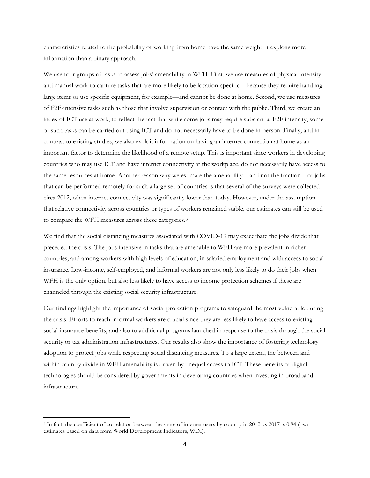characteristics related to the probability of working from home have the same weight, it exploits more information than a binary approach.

We use four groups of tasks to assess jobs' amenability to WFH. First, we use measures of physical intensity and manual work to capture tasks that are more likely to be location-specific—because they require handling large items or use specific equipment, for example—and cannot be done at home. Second, we use measures of F2F-intensive tasks such as those that involve supervision or contact with the public. Third, we create an index of ICT use at work, to reflect the fact that while some jobs may require substantial F2F intensity, some of such tasks can be carried out using ICT and do not necessarily have to be done in-person. Finally, and in contrast to existing studies, we also exploit information on having an internet connection at home as an important factor to determine the likelihood of a remote setup. This is important since workers in developing countries who may use ICT and have internet connectivity at the workplace, do not necessarily have access to the same resources at home. Another reason why we estimate the amenability—and not the fraction—of jobs that can be performed remotely for such a large set of countries is that several of the surveys were collected circa 2012, when internet connectivity was significantly lower than today. However, under the assumption that relative connectivity across countries or types of workers remained stable, our estimates can still be used to compare the WFH measures across these categories.[3](#page-5-0)

We find that the social distancing measures associated with COVID-19 may exacerbate the jobs divide that preceded the crisis. The jobs intensive in tasks that are amenable to WFH are more prevalent in richer countries, and among workers with high levels of education, in salaried employment and with access to social insurance. Low-income, self-employed, and informal workers are not only less likely to do their jobs when WFH is the only option, but also less likely to have access to income protection schemes if these are channeled through the existing social security infrastructure.

Our findings highlight the importance of social protection programs to safeguard the most vulnerable during the crisis. Efforts to reach informal workers are crucial since they are less likely to have access to existing social insurance benefits, and also to additional programs launched in response to the crisis through the social security or tax administration infrastructures. Our results also show the importance of fostering technology adoption to protect jobs while respecting social distancing measures. To a large extent, the between and within country divide in WFH amenability is driven by unequal access to ICT. These benefits of digital technologies should be considered by governments in developing countries when investing in broadband infrastructure.

<span id="page-5-0"></span><sup>3</sup> In fact, the coefficient of correlation between the share of internet users by country in 2012 vs 2017 is 0.94 (own estimates based on data from World Development Indicators, WDI).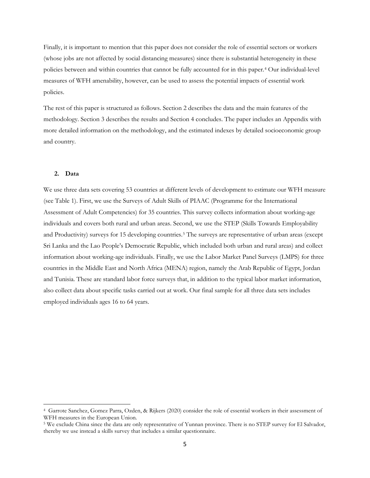Finally, it is important to mention that this paper does not consider the role of essential sectors or workers (whose jobs are not affected by social distancing measures) since there is substantial heterogeneity in these policies between and within countries that cannot be fully accounted for in this paper.[4](#page-6-0) Our individual-level measures of WFH amenability, however, can be used to assess the potential impacts of essential work policies.

The rest of this paper is structured as follows. Section 2 describes the data and the main features of the methodology. Section 3 describes the results and Section 4 concludes. The paper includes an Appendix with more detailed information on the methodology, and the estimated indexes by detailed socioeconomic group and country.

#### **2. Data**

We use three data sets covering 53 countries at different levels of development to estimate our WFH measure (see [Table 1\)](#page-7-0). First, we use the Surveys of Adult Skills of PIAAC (Programme for the International Assessment of Adult Competencies) for 35 countries. This survey collects information about working-age individuals and covers both rural and urban areas. Second, we use the STEP (Skills Towards Employability and Productivity) surveys for 15 developing countries.[5](#page-6-1) The surveys are representative of urban areas (except Sri Lanka and the Lao People's Democratic Republic, which included both urban and rural areas) and collect information about working-age individuals. Finally, we use the Labor Market Panel Surveys (LMPS) for three countries in the Middle East and North Africa (MENA) region, namely the Arab Republic of Egypt, Jordan and Tunisia. These are standard labor force surveys that, in addition to the typical labor market information, also collect data about specific tasks carried out at work. Our final sample for all three data sets includes employed individuals ages 16 to 64 years.

<span id="page-6-0"></span><sup>4</sup> Garrote Sanchez, Gomez Parra, Ozden, & Rijkers (2020) consider the role of essential workers in their assessment of WFH measures in the European Union.

<span id="page-6-1"></span><sup>5</sup> We exclude China since the data are only representative of Yunnan province. There is no STEP survey for El Salvador, thereby we use instead a skills survey that includes a similar questionnaire.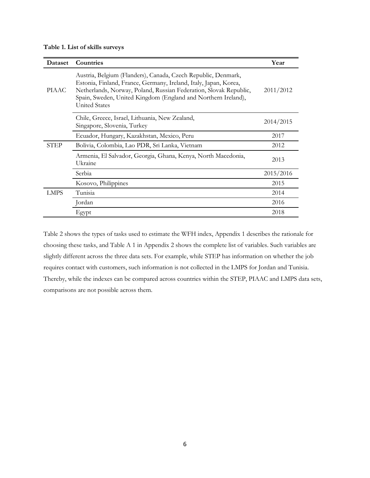<span id="page-7-0"></span>**Table 1. List of skills surveys**

| Dataset | Countries                                                                                                                                                                                                                                                                                       | Year      |
|---------|-------------------------------------------------------------------------------------------------------------------------------------------------------------------------------------------------------------------------------------------------------------------------------------------------|-----------|
| PIAAC   | Austria, Belgium (Flanders), Canada, Czech Republic, Denmark,<br>Estonia, Finland, France, Germany, Ireland, Italy, Japan, Korea,<br>Netherlands, Norway, Poland, Russian Federation, Slovak Republic,<br>Spain, Sweden, United Kingdom (England and Northern Ireland),<br><b>United States</b> | 2011/2012 |
|         | Chile, Greece, Israel, Lithuania, New Zealand,<br>Singapore, Slovenia, Turkey                                                                                                                                                                                                                   | 2014/2015 |
|         | Ecuador, Hungary, Kazakhstan, Mexico, Peru                                                                                                                                                                                                                                                      | 2017      |
| STEP    | Bolivia, Colombia, Lao PDR, Sri Lanka, Vietnam                                                                                                                                                                                                                                                  | 2012      |
|         | Armenia, El Salvador, Georgia, Ghana, Kenya, North Macedonia,<br>Ukraine                                                                                                                                                                                                                        | 2013      |
|         | Serbia                                                                                                                                                                                                                                                                                          | 2015/2016 |
|         | Kosovo, Philippines                                                                                                                                                                                                                                                                             | 2015      |
| LMPS    | Tunisia                                                                                                                                                                                                                                                                                         | 2014      |
|         | Jordan                                                                                                                                                                                                                                                                                          | 2016      |
|         | Egypt                                                                                                                                                                                                                                                                                           | 2018      |

[Table 2](#page-8-0) shows the types of tasks used to estimate the WFH index, Appendix 1 describes the rationale for choosing these tasks, and [Table A 1](#page-25-0) in Appendix 2 shows the complete list of variables. Such variables are slightly different across the three data sets. For example, while STEP has information on whether the job requires contact with customers, such information is not collected in the LMPS for Jordan and Tunisia. Thereby, while the indexes can be compared across countries within the STEP, PIAAC and LMPS data sets, comparisons are not possible across them.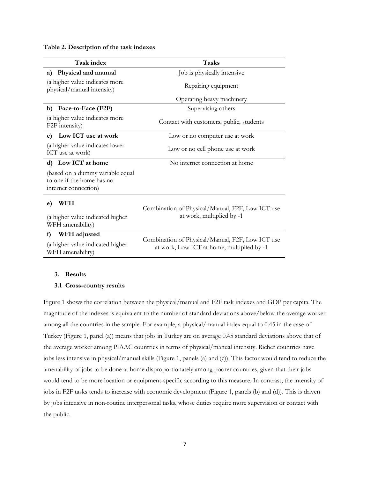<span id="page-8-0"></span>**Table 2. Description of the task indexes**

| Task index                                                                            | <b>Tasks</b>                                                                                   |  |
|---------------------------------------------------------------------------------------|------------------------------------------------------------------------------------------------|--|
| Physical and manual<br>a)                                                             | Job is physically intensive                                                                    |  |
| (a higher value indicates more<br>physical/manual intensity)                          | Repairing equipment                                                                            |  |
|                                                                                       | Operating heavy machinery                                                                      |  |
| b) Face-to-Face (F2F)                                                                 | Supervising others                                                                             |  |
| (a higher value indicates more<br>F2F intensity)                                      | Contact with customers, public, students                                                       |  |
| Low ICT use at work<br>c)                                                             | Low or no computer use at work                                                                 |  |
| (a higher value indicates lower<br>ICT use at work)                                   | Low or no cell phone use at work                                                               |  |
| d) Low ICT at home                                                                    | No internet connection at home                                                                 |  |
| (based on a dummy variable equal<br>to one if the home has no<br>internet connection) |                                                                                                |  |
| <b>WFH</b><br>e)                                                                      | Combination of Physical/Manual, F2F, Low ICT use                                               |  |
| (a higher value indicated higher<br>WFH amenability)                                  | at work, multiplied by -1                                                                      |  |
| WFH adjusted<br>f)                                                                    | Combination of Physical/Manual, F2F, Low ICT use<br>at work, Low ICT at home, multiplied by -1 |  |
| (a higher value indicated higher<br>WFH amenability)                                  |                                                                                                |  |

#### **3. Results**

#### **3.1 Cross-country results**

[Figure 1](#page-9-0) shows the correlation between the physical/manual and F2F task indexes and GDP per capita. The magnitude of the indexes is equivalent to the number of standard deviations above/below the average worker among all the countries in the sample. For example, a physical/manual index equal to 0.45 in the case of Turkey [\(Figure 1,](#page-9-0) panel (a)) means that jobs in Turkey are on average 0.45 standard deviations above that of the average worker among PIAAC countries in terms of physical/manual intensity. Richer countries have jobs less intensive in physical/manual skills [\(Figure 1,](#page-9-0) panels (a) and (c)). This factor would tend to reduce the amenability of jobs to be done at home disproportionately among poorer countries, given that their jobs would tend to be more location or equipment-specific according to this measure. In contrast, the intensity of jobs in F2F tasks tends to increase with economic development [\(Figure 1,](#page-9-0) panels (b) and (d)). This is driven by jobs intensive in non-routine interpersonal tasks, whose duties require more supervision or contact with the public.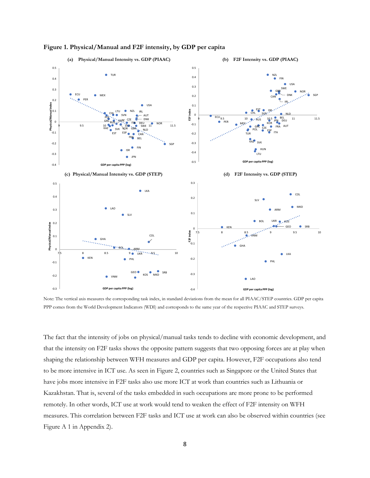

<span id="page-9-0"></span>**Figure 1. Physical/Manual and F2F intensity, by GDP per capita**

Note: The vertical axis measures the corresponding task index, in standard deviations from the mean for all PIAAC/STEP countries. GDP per capita PPP comes from the World Development Indicators (WDI) and corresponds to the same year of the respective PIAAC and STEP surveys.

The fact that the intensity of jobs on physical/manual tasks tends to decline with economic development, and that the intensity on F2F tasks shows the opposite pattern suggests that two opposing forces are at play when shaping the relationship between WFH measures and GDP per capita. However, F2F occupations also tend to be more intensive in ICT use. As seen in [Figure 2,](#page-10-0) countries such as Singapore or the United States that have jobs more intensive in F2F tasks also use more ICT at work than countries such as Lithuania or Kazakhstan. That is, several of the tasks embedded in such occupations are more prone to be performed remotely. In other words, ICT use at work would tend to weaken the effect of F2F intensity on WFH measures. This correlation between F2F tasks and ICT use at work can also be observed within countries (see [Figure A 1](#page-29-0) in Appendix 2).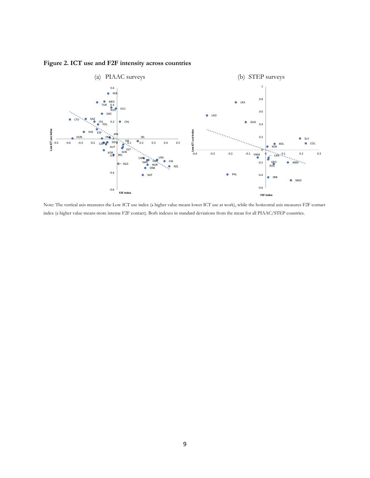

<span id="page-10-0"></span>**Figure 2. ICT use and F2F intensity across countries**

Note: The vertical axis measures the Low ICT use index (a higher value means lower ICT use at work), while the horizontal axis measures F2F contact index (a higher value means more intense F2F contact). Both indexes in standard deviations from the mean for all PIAAC/STEP countries.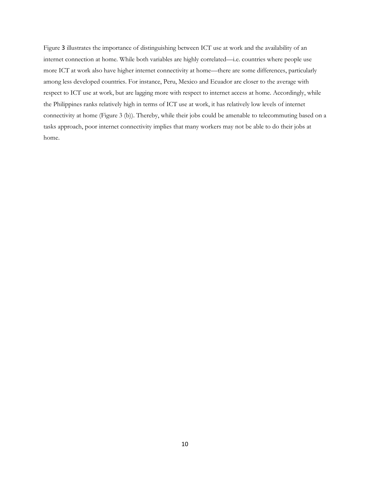<span id="page-11-0"></span>[Figure](#page-11-0) 3 illustrates the importance of distinguishing between ICT use at work and the availability of an internet connection at home. While both variables are highly correlated—i.e. countries where people use more ICT at work also have higher internet connectivity at home—there are some differences, particularly among less developed countries. For instance, Peru, Mexico and Ecuador are closer to the average with respect to ICT use at work, but are lagging more with respect to internet access at home. Accordingly, while the Philippines ranks relatively high in terms of ICT use at work, it has relatively low levels of internet connectivity at home [\(Figure 3](#page-12-0) (b)). Thereby, while their jobs could be amenable to telecommuting based on a tasks approach, poor internet connectivity implies that many workers may not be able to do their jobs at home.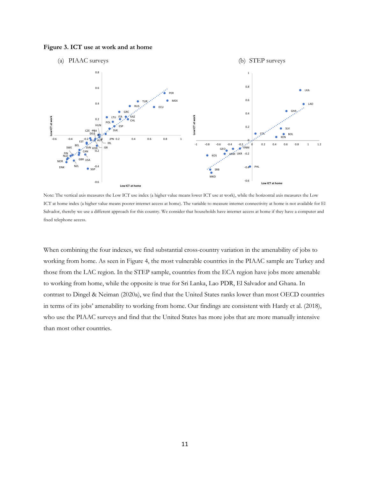#### <span id="page-12-0"></span>**Figure 3. ICT use at work and at home**



Note: The vertical axis measures the Low ICT use index (a higher value means lower ICT use at work), while the horizontal axis measures the Low ICT at home index (a higher value means poorer internet access at home). The variable to measure internet connectivity at home is not available for El Salvador, thereby we use a different approach for this country. We consider that households have internet access at home if they have a computer and fixed telephone access.

When combining the four indexes, we find substantial cross-country variation in the amenability of jobs to working from home. As seen in [Figure 4,](#page-13-0) the most vulnerable countries in the PIAAC sample are Turkey and those from the LAC region. In the STEP sample, countries from the ECA region have jobs more amenable to working from home, while the opposite is true for Sri Lanka, Lao PDR, El Salvador and Ghana. In contrast to Dingel & Neiman (2020a), we find that the United States ranks lower than most OECD countries in terms of its jobs' amenability to working from home. Our findings are consistent with Hardy et al. (2018), who use the PIAAC surveys and find that the United States has more jobs that are more manually intensive than most other countries.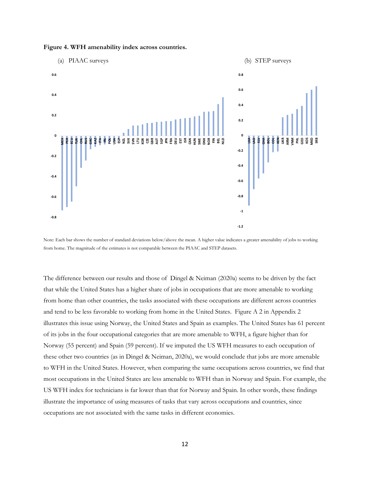

#### <span id="page-13-0"></span>**Figure 4. WFH amenability index across countries.**

Note: Each bar shows the number of standard deviations below/above the mean. A higher value indicates a greater amenability of jobs to working from home. The magnitude of the estimates is not comparable between the PIAAC and STEP datasets.

The difference between our results and those of Dingel & Neiman (2020a) seems to be driven by the fact that while the United States has a higher share of jobs in occupations that are more amenable to working from home than other countries, the tasks associated with these occupations are different across countries and tend to be less favorable to working from home in the United States. [Figure A 2](#page-30-0) in Appendix 2 illustrates this issue using Norway, the United States and Spain as examples. The United States has 61 percent of its jobs in the four occupational categories that are more amenable to WFH, a figure higher than for Norway (55 percent) and Spain (59 percent). If we imputed the US WFH measures to each occupation of these other two countries (as in Dingel & Neiman, 2020a), we would conclude that jobs are more amenable to WFH in the United States. However, when comparing the same occupations across countries, we find that most occupations in the United States are less amenable to WFH than in Norway and Spain. For example, the US WFH index for technicians is far lower than that for Norway and Spain. In other words, these findings illustrate the importance of using measures of tasks that vary across occupations and countries, since occupations are not associated with the same tasks in different economies.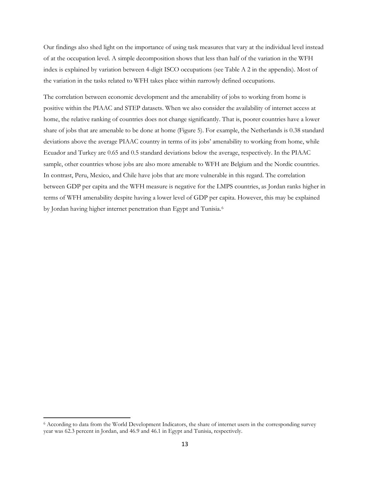Our findings also shed light on the importance of using task measures that vary at the individual level instead of at the occupation level. A simple decomposition shows that less than half of the variation in the WFH index is explained by variation between 4-digit ISCO occupations (see [Table A 2](#page-28-0) in the appendix). Most of the variation in the tasks related to WFH takes place within narrowly defined occupations.

The correlation between economic development and the amenability of jobs to working from home is positive within the PIAAC and STEP datasets. When we also consider the availability of internet access at home, the relative ranking of countries does not change significantly. That is, poorer countries have a lower share of jobs that are amenable to be done at home [\(Figure 5\)](#page-15-0). For example, the Netherlands is 0.38 standard deviations above the average PIAAC country in terms of its jobs' amenability to working from home, while Ecuador and Turkey are 0.65 and 0.5 standard deviations below the average, respectively. In the PIAAC sample, other countries whose jobs are also more amenable to WFH are Belgium and the Nordic countries. In contrast, Peru, Mexico, and Chile have jobs that are more vulnerable in this regard. The correlation between GDP per capita and the WFH measure is negative for the LMPS countries, as Jordan ranks higher in terms of WFH amenability despite having a lower level of GDP per capita. However, this may be explained by Jordan having higher internet penetration than Egypt and Tunisia.<sup>[6](#page-14-0)</sup>

<span id="page-14-0"></span><sup>6</sup> According to data from the World Development Indicators, the share of internet users in the corresponding survey year was 62.3 percent in Jordan, and 46.9 and 46.1 in Egypt and Tunisia, respectively.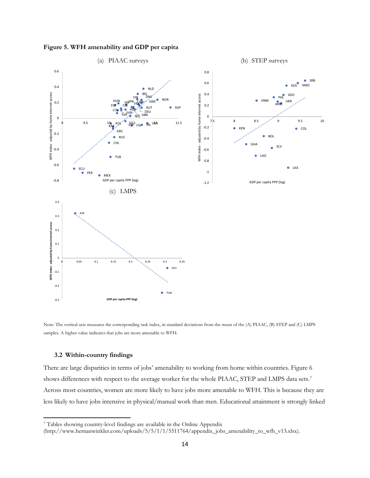<span id="page-15-0"></span>



Note: The vertical axis measures the corresponding task index, in standard deviations from the mean of the (A) PIAAC, (B) STEP and (C) LMPS samples. A higher value indicates that jobs are more amenable to WFH.

#### **3.2 Within-country findings**

There are large disparities in terms of jobs' amenability to working from home within countries. [Figure 6](#page-17-0) shows differences with respect to the average worker for the whole PIAAC, STEP and LMPS data sets.[7](#page-15-1) Across most countries, women are more likely to have jobs more amenable to WFH. This is because they are less likely to have jobs intensive in physical/manual work than men. Educational attainment is strongly linked

<span id="page-15-1"></span><sup>7</sup> Tables showing country-level findings are available in the Online Appendix

<sup>(</sup>http://www.hernanwinkler.com/uploads/5/5/1/1/5511764/appendix\_jobs\_amenability\_to\_wfh\_v13.xlsx).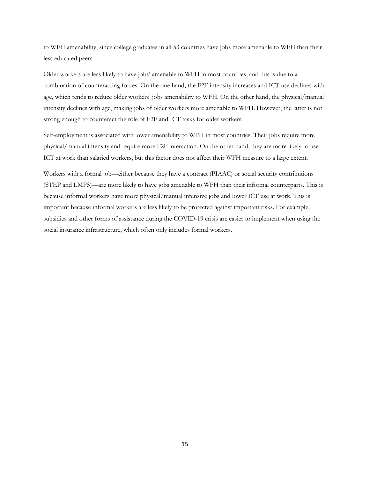to WFH amenability, since college graduates in all 53 countries have jobs more amenable to WFH than their less educated peers.

Older workers are less likely to have jobs' amenable to WFH in most countries, and this is due to a combination of counteracting forces. On the one hand, the F2F intensity increases and ICT use declines with age, which tends to reduce older workers' jobs amenability to WFH. On the other hand, the physical/manual intensity declines with age, making jobs of older workers more amenable to WFH. However, the latter is not strong enough to counteract the role of F2F and ICT tasks for older workers.

Self-employment is associated with lower amenability to WFH in most countries. Their jobs require more physical/manual intensity and require more F2F interaction. On the other hand, they are more likely to use ICT at work than salaried workers, but this factor does not affect their WFH measure to a large extent.

Workers with a formal job—either because they have a contract (PIAAC) or social security contributions (STEP and LMPS)—are more likely to have jobs amenable to WFH than their informal counterparts. This is because informal workers have more physical/manual intensive jobs and lower ICT use at work. This is important because informal workers are less likely to be protected against important risks. For example, subsidies and other forms of assistance during the COVID-19 crisis are easier to implement when using the social insurance infrastructure, which often only includes formal workers.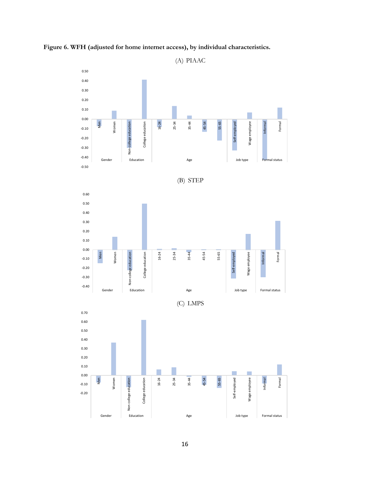

<span id="page-17-0"></span>**Figure 6. WFH (adjusted for home internet access), by individual characteristics.**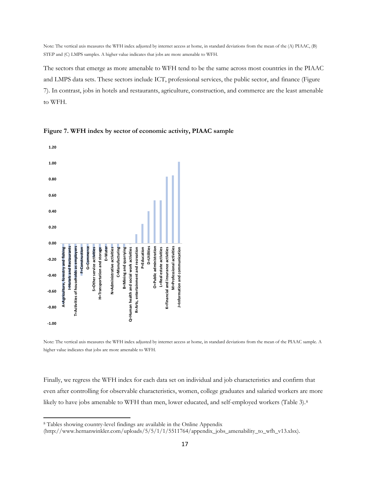Note: The vertical axis measures the WFH index adjusted by internet access at home, in standard deviations from the mean of the (A) PIAAC, (B) STEP and (C) LMPS samples. A higher value indicates that jobs are more amenable to WFH.

The sectors that emerge as more amenable to WFH tend to be the same across most countries in the PIAAC and LMPS data sets. These sectors include ICT, professional services, the public sector, and finance [\(Figure](#page-18-0)  [7\)](#page-18-0). In contrast, jobs in hotels and restaurants, agriculture, construction, and commerce are the least amenable to WFH.



<span id="page-18-0"></span>**Figure 7. WFH index by sector of economic activity, PIAAC sample**

Note: The vertical axis measures the WFH index adjusted by internet access at home, in standard deviations from the mean of the PIAAC sample. A higher value indicates that jobs are more amenable to WFH.

Finally, we regress the WFH index for each data set on individual and job characteristics and confirm that even after controlling for observable characteristics, women, college graduates and salaried workers are more likely to have jobs amenable to WFH than men, lower educated, and self-employed workers [\(Table 3\)](#page-19-0).<sup>[8](#page-18-1)</sup>

<span id="page-18-1"></span><sup>8</sup> Tables showing country-level findings are available in the Online Appendix

<sup>(</sup>http://www.hernanwinkler.com/uploads/5/5/1/1/5511764/appendix\_jobs\_amenability\_to\_wfh\_v13.xlsx).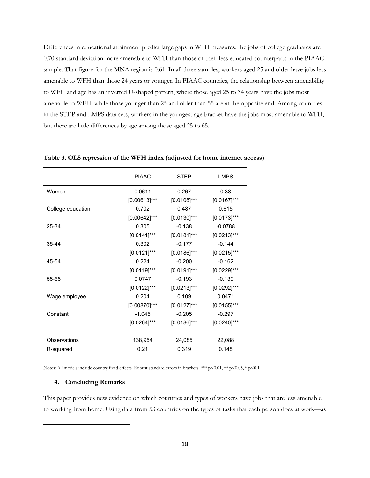Differences in educational attainment predict large gaps in WFH measures: the jobs of college graduates are 0.70 standard deviation more amenable to WFH than those of their less educated counterparts in the PIAAC sample. That figure for the MNA region is 0.61. In all three samples, workers aged 25 and older have jobs less amenable to WFH than those 24 years or younger. In PIAAC countries, the relationship between amenability to WFH and age has an inverted U-shaped pattern, where those aged 25 to 34 years have the jobs most amenable to WFH, while those younger than 25 and older than 55 are at the opposite end. Among countries in the STEP and LMPS data sets, workers in the youngest age bracket have the jobs most amenable to WFH, but there are little differences by age among those aged 25 to 65.

|                   | <b>PIAAC</b>    | <b>STEP</b>    | <b>LMPS</b>    |
|-------------------|-----------------|----------------|----------------|
| Women             | 0.0611          | 0.267          | 0.38           |
|                   | $[0.00613]$ *** | $[0.0108]$ *** | $[0.0167]$ *** |
| College education | 0.702           | 0.487          | 0.615          |
|                   | $[0.00642]$ *** | $[0.0130]$ *** | $[0.0173]$ *** |
| 25-34             | 0.305           | $-0.138$       | $-0.0788$      |
|                   | $[0.0141]$ ***  | $[0.0181]$ *** | $[0.0213]$ *** |
| 35-44             | 0.302           | $-0.177$       | $-0.144$       |
|                   | $[0.0121]$ ***  | $[0.0186]$ *** | $[0.0215]$ *** |
| 45-54             | 0.224           | $-0.200$       | $-0.162$       |
|                   | $[0.0119]$ ***  | $[0.0191]$ *** | $[0.0229]$ *** |
| 55-65             | 0.0747          | $-0.193$       | $-0.139$       |
|                   | $[0.0122]$ ***  | $[0.0213]$ *** | $[0.0292]$ *** |
| Wage employee     | 0.204           | 0.109          | 0.0471         |
|                   | $[0.00870]$ *** | $[0.0127]$ *** | $[0.0155]$ *** |
| Constant          | $-1.045$        | $-0.205$       | $-0.297$       |
|                   | $[0.0264]$ ***  | $[0.0186]$ *** | $[0.0240]$ *** |
|                   |                 |                |                |
| Observations      | 138,954         | 24,085         | 22,088         |
| R-squared         | 0.21            | 0.319          | 0.148          |

<span id="page-19-0"></span>**Table 3. OLS regression of the WFH index (adjusted for home internet access)**

Notes: All models include country fixed effects. Robust standard errors in brackets. \*\*\* p<0.01, \*\* p<0.05, \* p<0.1

#### **4. Concluding Remarks**

This paper provides new evidence on which countries and types of workers have jobs that are less amenable to working from home. Using data from 53 countries on the types of tasks that each person does at work—as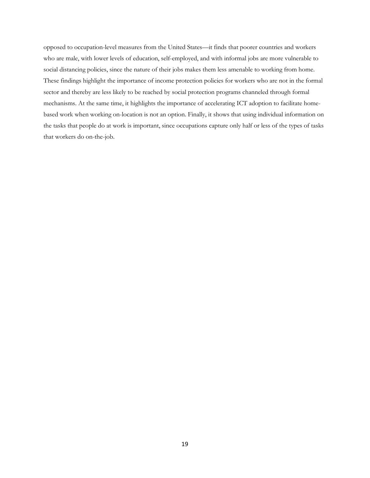opposed to occupation-level measures from the United States—it finds that poorer countries and workers who are male, with lower levels of education, self-employed, and with informal jobs are more vulnerable to social distancing policies, since the nature of their jobs makes them less amenable to working from home. These findings highlight the importance of income protection policies for workers who are not in the formal sector and thereby are less likely to be reached by social protection programs channeled through formal mechanisms. At the same time, it highlights the importance of accelerating ICT adoption to facilitate homebased work when working on-location is not an option. Finally, it shows that using individual information on the tasks that people do at work is important, since occupations capture only half or less of the types of tasks that workers do on-the-job.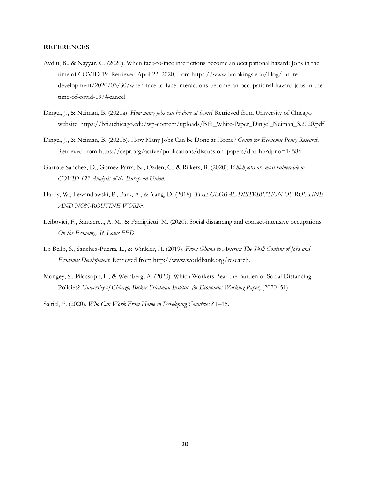#### **REFERENCES**

- Avdiu, B., & Nayyar, G. (2020). When face-to-face interactions become an occupational hazard: Jobs in the time of COVID-19. Retrieved April 22, 2020, from https://www.brookings.edu/blog/futuredevelopment/2020/03/30/when-face-to-face-interactions-become-an-occupational-hazard-jobs-in-thetime-of-covid-19/#cancel
- Dingel, J., & Neiman, B. (2020a). *How many jobs can be done at home?* Retrieved from University of Chicago website: https://bfi.uchicago.edu/wp-content/uploads/BFI\_White-Paper\_Dingel\_Neiman\_3.2020.pdf
- Dingel, J., & Neiman, B. (2020b). How Many Jobs Can be Done at Home? *Centre for Economic Policy Research*. Retrieved from https://cepr.org/active/publications/discussion\_papers/dp.php?dpno=14584
- Garrote Sanchez, D., Gomez Parra, N., Ozden, C., & Rijkers, B. (2020). *Which jobs are most vulnerable to COVID-19? Analysis of the European Union*.
- Hardy, W., Lewandowski, P., Park, A., & Yang, D. (2018). *THE GLOBAL DISTRIBUTION OF ROUTINE AND NON-ROUTINE WORK•*.
- Leibovici, F., Santacreu, A. M., & Famiglietti, M. (2020). Social distancing and contact-intensive occupations. *On the Economy, St. Louis FED*.
- Lo Bello, S., Sanchez-Puerta, L., & Winkler, H. (2019). *From Ghana to America The Skill Content of Jobs and Economic Development*. Retrieved from http://www.worldbank.org/research.
- Mongey, S., Pilossoph, L., & Weinberg, A. (2020). Which Workers Bear the Burden of Social Distancing Policies? *University of Chicago, Becker Friedman Institute for Economics Working Paper*, (2020–51).

Saltiel, F. (2020). *Who Can Work From Home in Developing Countries ?* 1–15.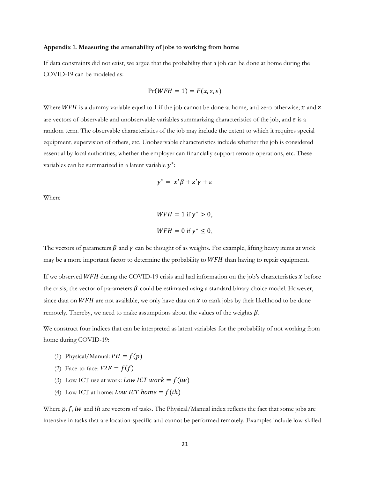#### **Appendix 1. Measuring the amenability of jobs to working from home**

If data constraints did not exist, we argue that the probability that a job can be done at home during the COVID-19 can be modeled as:

$$
Pr(WFH = 1) = F(x, z, \varepsilon)
$$

Where *WFH* is a dummy variable equal to 1 if the job cannot be done at home, and zero otherwise;  $x$  and z are vectors of observable and unobservable variables summarizing characteristics of the job, and  $\varepsilon$  is a random term. The observable characteristics of the job may include the extent to which it requires special equipment, supervision of others, etc. Unobservable characteristics include whether the job is considered essential by local authorities, whether the employer can financially support remote operations, etc. These variables can be summarized in a latent variable  $y^*$ :

$$
y^* = x'\beta + z'\gamma + \varepsilon
$$

Where

$$
WFH = 1 \text{ if } y^* > 0,
$$
  

$$
WFH = 0 \text{ if } y^* \le 0,
$$

The vectors of parameters  $\beta$  and  $\gamma$  can be thought of as weights. For example, lifting heavy items at work may be a more important factor to determine the probability to  $WFH$  than having to repair equipment.

If we observed WFH during the COVID-19 crisis and had information on the job's characteristics  $x$  before the crisis, the vector of parameters  $\beta$  could be estimated using a standard binary choice model. However, since data on *WFH* are not available, we only have data on  $x$  to rank jobs by their likelihood to be done remotely. Thereby, we need to make assumptions about the values of the weights  $\beta$ .

We construct four indices that can be interpreted as latent variables for the probability of not working from home during COVID-19:

- (1) Physical/Manual:  $PH = f(p)$
- (2) Face-to-face:  $F2F = f(f)$
- (3) Low ICT use at work: Low ICT work =  $f(iw)$
- (4) Low ICT at home: Low ICT home =  $f(ih)$

Where  $p, f, iw$  and  $i\hbar$  are vectors of tasks. The Physical/Manual index reflects the fact that some jobs are intensive in tasks that are location-specific and cannot be performed remotely. Examples include low-skilled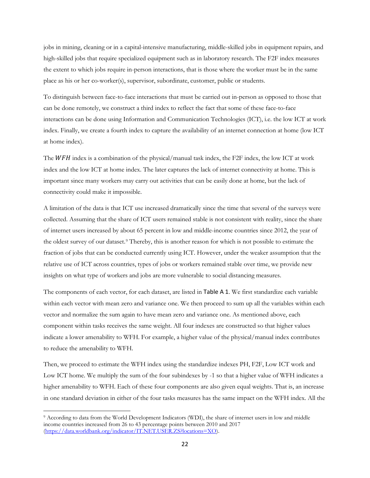jobs in mining, cleaning or in a capital-intensive manufacturing, middle-skilled jobs in equipment repairs, and high-skilled jobs that require specialized equipment such as in laboratory research. The F2F index measures the extent to which jobs require in-person interactions, that is those where the worker must be in the same place as his or her co-worker(s), supervisor, subordinate, customer, public or students.

To distinguish between face-to-face interactions that must be carried out in-person as opposed to those that can be done remotely, we construct a third index to reflect the fact that some of these face-to-face interactions can be done using Information and Communication Technologies (ICT), i.e. the low ICT at work index. Finally, we create a fourth index to capture the availability of an internet connection at home (low ICT at home index).

The  $WFH$  index is a combination of the physical/manual task index, the F2F index, the low ICT at work index and the low ICT at home index. The later captures the lack of internet connectivity at home. This is important since many workers may carry out activities that can be easily done at home, but the lack of connectivity could make it impossible.

A limitation of the data is that ICT use increased dramatically since the time that several of the surveys were collected. Assuming that the share of ICT users remained stable is not consistent with reality, since the share of internet users increased by about 65 percent in low and middle-income countries since 2012, the year of the oldest survey of our dataset.[9](#page-23-0) Thereby, this is another reason for which is not possible to estimate the fraction of jobs that can be conducted currently using ICT. However, under the weaker assumption that the relative use of ICT across countries, types of jobs or workers remained stable over time, we provide new insights on what type of workers and jobs are more vulnerable to social distancing measures.

The components of each vector, for each dataset, are listed in [Table A 1](#page-25-0). We first standardize each variable within each vector with mean zero and variance one. We then proceed to sum up all the variables within each vector and normalize the sum again to have mean zero and variance one. As mentioned above, each component within tasks receives the same weight. All four indexes are constructed so that higher values indicate a lower amenability to WFH. For example, a higher value of the physical/manual index contributes to reduce the amenability to WFH.

Then, we proceed to estimate the WFH index using the standardize indexes PH, F2F, Low ICT work and Low ICT home. We multiply the sum of the four subindexes by -1 so that a higher value of WFH indicates a higher amenability to WFH. Each of these four components are also given equal weights. That is, an increase in one standard deviation in either of the four tasks measures has the same impact on the WFH index. All the

<span id="page-23-0"></span><sup>9</sup> According to data from the World Development Indicators (WDI), the share of internet users in low and middle income countries increased from 26 to 43 percentage points between 2010 and 2017 [\(https://data.worldbank.org/indicator/IT.NET.USER.ZS?locations=XO\)](https://data.worldbank.org/indicator/IT.NET.USER.ZS?locations=XO).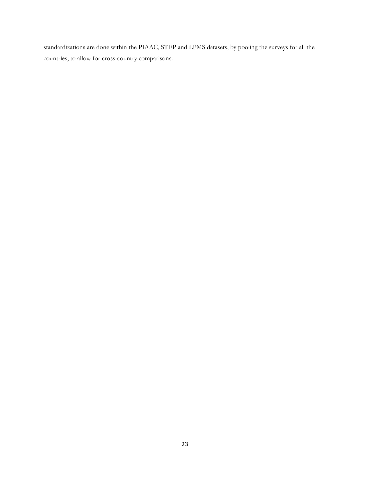standardizations are done within the PIAAC, STEP and LPMS datasets, by pooling the surveys for all the countries, to allow for cross-country comparisons.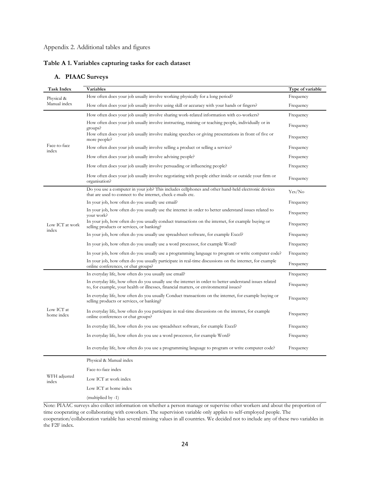#### Appendix 2. Additional tables and figures

#### <span id="page-25-0"></span>**Table A 1. Variables capturing tasks for each dataset**

| Task Index               | Variables                                                                                                                                                                                          | Type of variable |
|--------------------------|----------------------------------------------------------------------------------------------------------------------------------------------------------------------------------------------------|------------------|
| Physical &               | How often does your job usually involve working physically for a long period?                                                                                                                      | Frequency        |
| Manual index             | How often does your job usually involve using skill or accuracy with your hands or fingers?                                                                                                        | Frequency        |
|                          | How often does your job usually involve sharing work-related information with co-workers?                                                                                                          | Frequency        |
|                          | How often does your job usually involve instructing, training or teaching people, individually or in<br>groups?                                                                                    | Frequency        |
| Face-to-face<br>index    | How often does your job usually involve making speeches or giving presentations in front of five or<br>more people?                                                                                | Frequency        |
|                          | How often does your job usually involve selling a product or selling a service?                                                                                                                    | Frequency        |
|                          | How often does your job usually involve advising people?                                                                                                                                           | Frequency        |
|                          | How often does your job usually involve persuading or influencing people?                                                                                                                          | Frequency        |
|                          | How often does your job usually involve negotiating with people either inside or outside your firm or<br>organisation?                                                                             | Frequency        |
|                          | Do you use a computer in your job? This includes cellphones and other hand-held electronic devices<br>that are used to connect to the internet, check e-mails etc.                                 | Yes/No           |
|                          | In your job, how often do you usually use email?                                                                                                                                                   | Frequency        |
|                          | In your job, how often do you usually use the internet in order to better understand issues related to<br>your work?                                                                               | Frequency        |
| Low ICT at work<br>index | In your job, how often do you usually conduct transactions on the internet, for example buying or<br>selling products or services, or banking?                                                     | Frequency        |
|                          | In your job, how often do you usually use spreadsheet software, for example Excel?                                                                                                                 | Frequency        |
|                          | In your job, how often do you usually use a word processor, for example Word?                                                                                                                      | Frequency        |
|                          | In your job, how often do you usually use a programming language to program or write computer code?                                                                                                | Frequency        |
|                          | In your job, how often do you usually participate in real-time discussions on the internet, for example<br>online conferences, or chat groups?                                                     | Frequency        |
|                          | In everyday life, how often do you usually use email?                                                                                                                                              | Frequency        |
|                          | In everyday life, how often do you usually use the internet in order to better understand issues related<br>to, for example, your health or illnesses, financial matters, or environmental issues? | Frequency        |
|                          | In everyday life, how often do you usually Conduct transactions on the internet, for example buying or<br>selling products or services, or banking?                                                | Frequency        |
| Low ICT at<br>home index | In everyday life, how often do you participate in real-time discussions on the internet, for example<br>online conferences or chat groups?                                                         | Frequency        |
|                          | In everyday life, how often do you use spreadsheet software, for example Excel?                                                                                                                    | Frequency        |
|                          | In everyday life, how often do you use a word processor, for example Word?                                                                                                                         | Frequency        |
|                          | In everyday life, how often do you use a programming language to program or write computer code?                                                                                                   | Frequency        |
|                          | Physical & Manual index                                                                                                                                                                            |                  |
|                          | Face-to-face index                                                                                                                                                                                 |                  |
| WFH adjusted<br>index    | Low ICT at work index                                                                                                                                                                              |                  |
|                          | Low ICT at home index                                                                                                                                                                              |                  |
|                          | (multiplied by -1)                                                                                                                                                                                 |                  |

#### **A. PIAAC Surveys**

Note: PIAAC surveys also collect information on whether a person manage or supervise other workers and about the proportion of time cooperating or collaborating with coworkers. The supervision variable only applies to self-employed people. The cooperation/collaboration variable has several missing values in all countries. We decided not to include any of these two variables in the F2F index.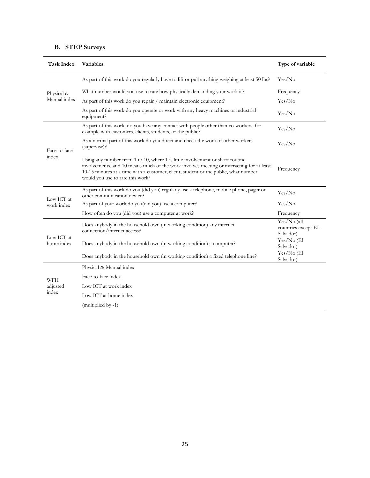## **B. STEP Surveys**

| <b>Task Index</b>               | <b>Variables</b>                                                                                                                                                                                                                                                                                     | Type of variable                                |
|---------------------------------|------------------------------------------------------------------------------------------------------------------------------------------------------------------------------------------------------------------------------------------------------------------------------------------------------|-------------------------------------------------|
| Physical &<br>Manual index      | As part of this work do you regularly have to lift or pull anything weighing at least 50 lbs?                                                                                                                                                                                                        | Yes/No                                          |
|                                 | What number would you use to rate how physically demanding your work is?                                                                                                                                                                                                                             | Frequency                                       |
|                                 | As part of this work do you repair / maintain electronic equipment?                                                                                                                                                                                                                                  | Yes/No                                          |
|                                 | As part of this work do you operate or work with any heavy machines or industrial<br>equipment?                                                                                                                                                                                                      | Yes/No                                          |
| Face-to-face<br>index           | As part of this work, do you have any contact with people other than co-workers, for<br>example with customers, clients, students, or the public?                                                                                                                                                    | Yes/No                                          |
|                                 | As a normal part of this work do you direct and check the work of other workers<br>(supervise)?                                                                                                                                                                                                      | Yes/No                                          |
|                                 | Using any number from 1 to 10, where 1 is little involvement or short routine<br>involvements, and 10 means much of the work involves meeting or interacting for at least<br>10-15 minutes at a time with a customer, client, student or the public, what number<br>would you use to rate this work? | Frequency                                       |
| Low ICT at                      | As part of this work do you (did you) regularly use a telephone, mobile phone, pager or<br>other communication device?                                                                                                                                                                               | Yes/No                                          |
| work index                      | As part of your work do you(did you) use a computer?                                                                                                                                                                                                                                                 | Yes/No                                          |
|                                 | How often do you (did you) use a computer at work?                                                                                                                                                                                                                                                   | Frequency                                       |
| Low ICT at<br>home index        | Does anybody in the household own (in working condition) any internet<br>connection/internet access?                                                                                                                                                                                                 | Yes/No (all<br>countries except EL<br>Salvador) |
|                                 | Does anybody in the household own (in working condition) a computer?                                                                                                                                                                                                                                 | $Yes/No$ (El<br>Salvador)                       |
|                                 | Does anybody in the household own (in working condition) a fixed telephone line?                                                                                                                                                                                                                     | $Yes/No$ (El<br>Salvador)                       |
|                                 | Physical & Manual index                                                                                                                                                                                                                                                                              |                                                 |
| <b>WFH</b><br>adjusted<br>index | Face-to-face index                                                                                                                                                                                                                                                                                   |                                                 |
|                                 | Low ICT at work index                                                                                                                                                                                                                                                                                |                                                 |
|                                 | Low ICT at home index                                                                                                                                                                                                                                                                                |                                                 |
|                                 | (multiplied by -1)                                                                                                                                                                                                                                                                                   |                                                 |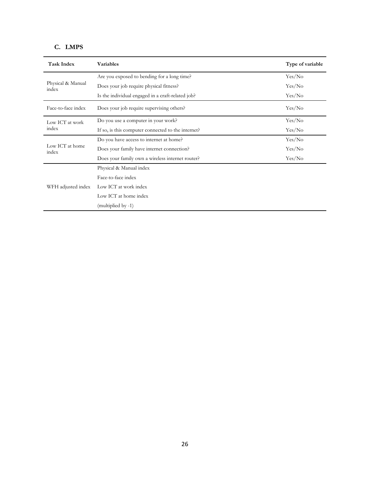## **C. LMPS**

| <b>Task Index</b>          | <b>Variables</b>                                   | Type of variable |
|----------------------------|----------------------------------------------------|------------------|
|                            | Are you exposed to bending for a long time?        | Yes/No           |
| Physical & Manual<br>index | Does your job require physical fitness?            | Yes/No           |
|                            | Is the individual engaged in a craft-related job?  | Yes/No           |
| Face-to-face index         | Does your job require supervising others?          | Yes/No           |
| Low ICT at work            | Do you use a computer in your work?                | Yes/No           |
| index                      | If so, is this computer connected to the internet? | Yes/No           |
|                            | Do you have access to internet at home?            | Yes/No           |
| Low ICT at home<br>index   | Does your family have internet connection?         | Yes/No           |
|                            | Does your family own a wireless internet router?   | Yes/No           |
|                            | Physical & Manual index                            |                  |
|                            | Face-to-face index                                 |                  |
| WFH adjusted index         | Low ICT at work index                              |                  |
|                            | Low ICT at home index                              |                  |
|                            | (multiplied by -1)                                 |                  |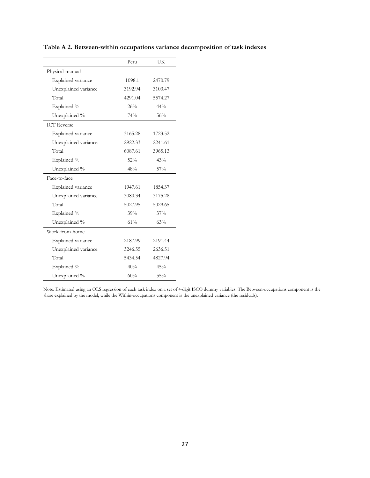|                           | Peru    | UK      |
|---------------------------|---------|---------|
| Physical-manual           |         |         |
| Explained variance        | 1098.1  | 2470.79 |
| Unexplained variance      | 3192.94 | 3103.47 |
| Total                     | 4291.04 | 5574.27 |
| Explained %               | 26%     | 44%     |
| Unexplained %             | 74%     | 56%     |
| <b>ICT</b> Reverse        |         |         |
| <b>Explained</b> variance | 3165.28 | 1723.52 |
| Unexplained variance      | 2922.33 | 2241.61 |
| Total                     | 6087.61 | 3965.13 |
| Explained %               | 52%     | 43%     |
| Unexplained %             | 48%     | 57%     |
| Face-to-face              |         |         |
| Explained variance        | 1947.61 | 1854.37 |
| Unexplained variance      | 3080.34 | 3175.28 |
| Total                     | 5027.95 | 5029.65 |
| Explained %               | 39%     | 37%     |
| Unexplained %             | 61%     | 63%     |
| Work-from-home            |         |         |
| Explained variance        | 2187.99 | 2191.44 |
| Unexplained variance      | 3246.55 | 2636.51 |
| Total                     | 5434.54 | 4827.94 |
| Explained %               | 40%     | 45%     |
| Unexplained %             | 60%     | 55%     |

<span id="page-28-0"></span>**Table A 2. Between-within occupations variance decomposition of task indexes**

Note: Estimated using an OLS regression of each task index on a set of 4-digit ISCO dummy variables. The Between-occupations component is the share explained by the model, while the Within-occupations component is the unexplained variance (the residuals).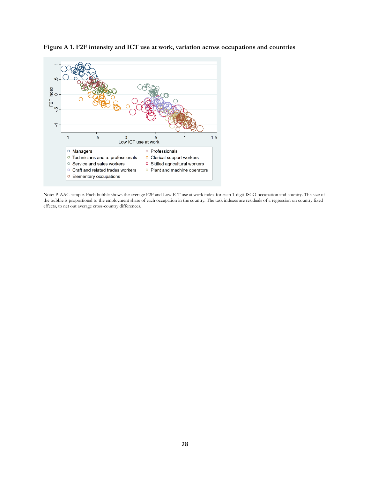

<span id="page-29-0"></span>**Figure A 1. F2F intensity and ICT use at work, variation across occupations and countries**

Note: PIAAC sample. Each bubble shows the average F2F and Low ICT use at work index for each 1-digit ISCO occupation and country. The size of the bubble is proportional to the employment share of each occupation in the country. The task indexes are residuals of a regression on country fixed effects, to net out average cross-country differences.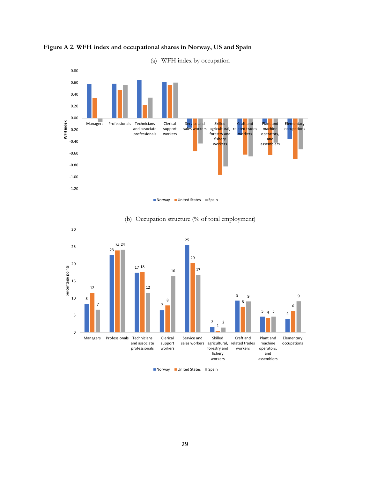

<span id="page-30-0"></span>**Figure A 2. WFH index and occupational shares in Norway, US and Spain** 



(b) Occupation structure (% of total employment)

■ Norway ■ United States ■ Spain